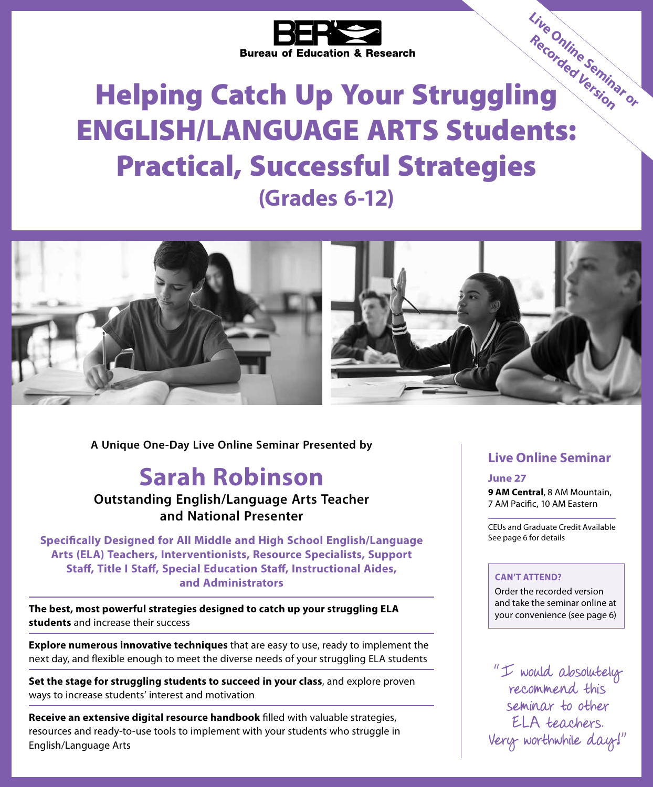

# Helping Catch Up Your Struggling ENGLISH/LANGUAGE ARTS Students: Practical, Successful Strategies **(Grades 6-12) Live Online Seminar or Recorded Version**



**A Unique One-Day Live Online Seminar Presented by**

# **Sarah Robinson**

## **Outstanding English/Language Arts Teacher and National Presenter**

**Specifically Designed for All Middle and High School English/Language Arts (ELA) Teachers, Interventionists, Resource Specialists, Support Staff, Title I Staff, Special Education Staff, Instructional Aides, and Administrators**

**The best, most powerful strategies designed to catch up your struggling ELA students** and increase their success

**Explore numerous innovative techniques** that are easy to use, ready to implement the next day, and flexible enough to meet the diverse needs of your struggling ELA students

**Set the stage for struggling students to succeed in your class**, and explore proven ways to increase students' interest and motivation

**Receive an extensive digital resource handbook** filled with valuable strategies, resources and ready-to-use tools to implement with your students who struggle in English/Language Arts

## **Live Online Seminar**

#### **June 27**

**9 AM Central**, 8 AM Mountain, 7 AM Pacific, 10 AM Eastern

CEUs and Graduate Credit Available See page 6 for details

#### **CAN'T ATTEND?**

Order the recorded version and take the seminar online at your convenience (see page 6)

"I would absolutely recommend this seminar to other ELA teachers. Very worthwhile day!"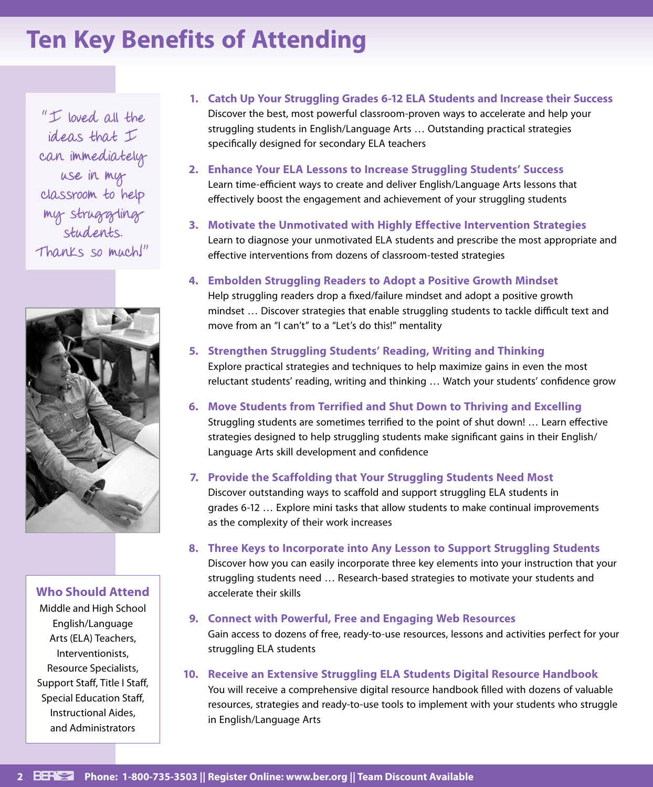# **Ten Key Benefits of Attending**

 $"I$  loved all the ideas that I can immediately use in my classroom to help my struggling students. Thanks so much!"



#### **Who Should Attend**

Middle and High School English/Language Arts (ELA) Teachers, Interventionists, Resource Specialists, Support Staff, Title I Staff, Special Education Staff, Instructional Aides, and Administrators

- **1. Catch Up Your Struggling Grades 6-12 ELA Students and Increase their Success** Discover the best, most powerful classroom-proven ways to accelerate and help your struggling students in English/Language Arts … Outstanding practical strategies specifically designed for secondary ELA teachers
- **2. Enhance Your ELA Lessons to Increase Struggling Students' Success** Learn time-efficient ways to create and deliver English/Language Arts lessons that effectively boost the engagement and achievement of your struggling students
- **3. Motivate the Unmotivated with Highly Effective Intervention Strategies** Learn to diagnose your unmotivated ELA students and prescribe the most appropriate and effective interventions from dozens of classroom-tested strategies
- **4. Embolden Struggling Readers to Adopt a Positive Growth Mindset**

Help struggling readers drop a fixed/failure mindset and adopt a positive growth mindset … Discover strategies that enable struggling students to tackle difficult text and move from an "I can't" to a "Let's do this!" mentality

#### **5. Strengthen Struggling Students' Reading, Writing and Thinking**

Explore practical strategies and techniques to help maximize gains in even the most reluctant students' reading, writing and thinking … Watch your students' confidence grow

**6. Move Students from Terrified and Shut Down to Thriving and Excelling**

Struggling students are sometimes terrified to the point of shut down! … Learn effective strategies designed to help struggling students make significant gains in their English/ Language Arts skill development and confidence

#### **7. Provide the Scaffolding that Your Struggling Students Need Most**

Discover outstanding ways to scaffold and support struggling ELA students in grades 6-12 … Explore mini tasks that allow students to make continual improvements as the complexity of their work increases

**8. Three Keys to Incorporate into Any Lesson to Support Struggling Students** Discover how you can easily incorporate three key elements into your instruction that your struggling students need … Research-based strategies to motivate your students and

## **9. Connect with Powerful, Free and Engaging Web Resources**

Gain access to dozens of free, ready-to-use resources, lessons and activities perfect for your struggling ELA students

#### **10. Receive an Extensive Struggling ELA Students Digital Resource Handbook**

You will receive a comprehensive digital resource handbook filled with dozens of valuable resources, strategies and ready-to-use tools to implement with your students who struggle in English/Language Arts

accelerate their skills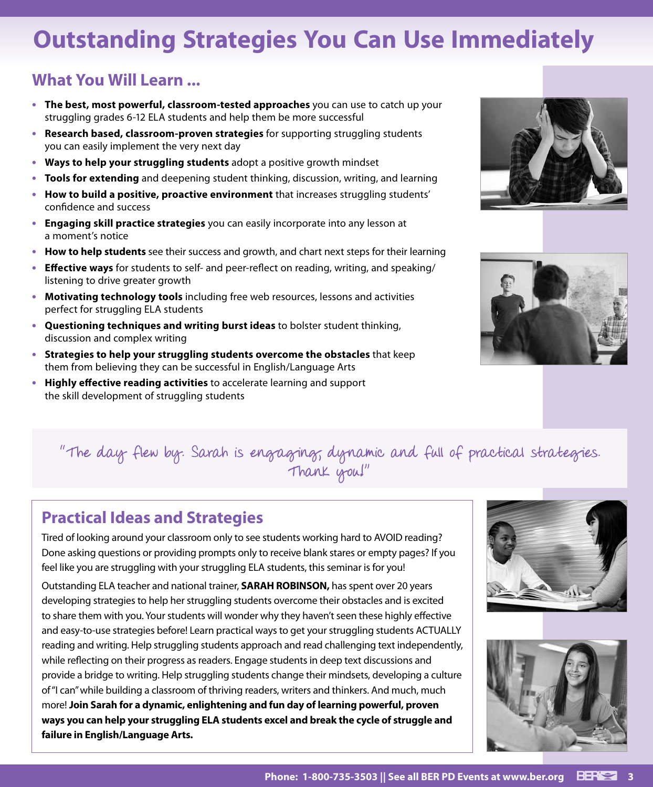# **Outstanding Strategies You Can Use Immediately**

## **What You Will Learn ...**

- **• The best, most powerful, classroom-tested approaches** you can use to catch up your struggling grades 6-12 ELA students and help them be more successful
- **• Research based, classroom-proven strategies** for supporting struggling students you can easily implement the very next day
- **• Ways to help your struggling students** adopt a positive growth mindset
- **• Tools for extending** and deepening student thinking, discussion, writing, and learning
- **• How to build a positive, proactive environment** that increases struggling students' confidence and success
- **• Engaging skill practice strategies** you can easily incorporate into any lesson at a moment's notice
- **• How to help students** see their success and growth, and chart next steps for their learning
- **• Effective ways** for students to self- and peer-reflect on reading, writing, and speaking/ listening to drive greater growth
- **• Motivating technology tools** including free web resources, lessons and activities perfect for struggling ELA students
- **• Questioning techniques and writing burst ideas** to bolster student thinking, discussion and complex writing
- **• Strategies to help your struggling students overcome the obstacles** that keep them from believing they can be successful in English/Language Arts
- **• Highly effective reading activities** to accelerate learning and support the skill development of struggling students





" The day flew by. Sarah is engaging, dynamic and full of practical strategies. Thank you!"

## **Practical Ideas and Strategies**

Tired of looking around your classroom only to see students working hard to AVOID reading? Done asking questions or providing prompts only to receive blank stares or empty pages? If you feel like you are struggling with your struggling ELA students, this seminar is for you!

Outstanding ELA teacher and national trainer, **SARAH ROBINSON,** has spent over 20 years developing strategies to help her struggling students overcome their obstacles and is excited to share them with you. Your students will wonder why they haven't seen these highly effective and easy-to-use strategies before! Learn practical ways to get your struggling students ACTUALLY reading and writing. Help struggling students approach and read challenging text independently, while reflecting on their progress as readers. Engage students in deep text discussions and provide a bridge to writing. Help struggling students change their mindsets, developing a culture of "I can" while building a classroom of thriving readers, writers and thinkers. And much, much more! **Join Sarah for a dynamic, enlightening and fun day of learning powerful, proven ways you can help your struggling ELA students excel and break the cycle of struggle and failure in English/Language Arts.**



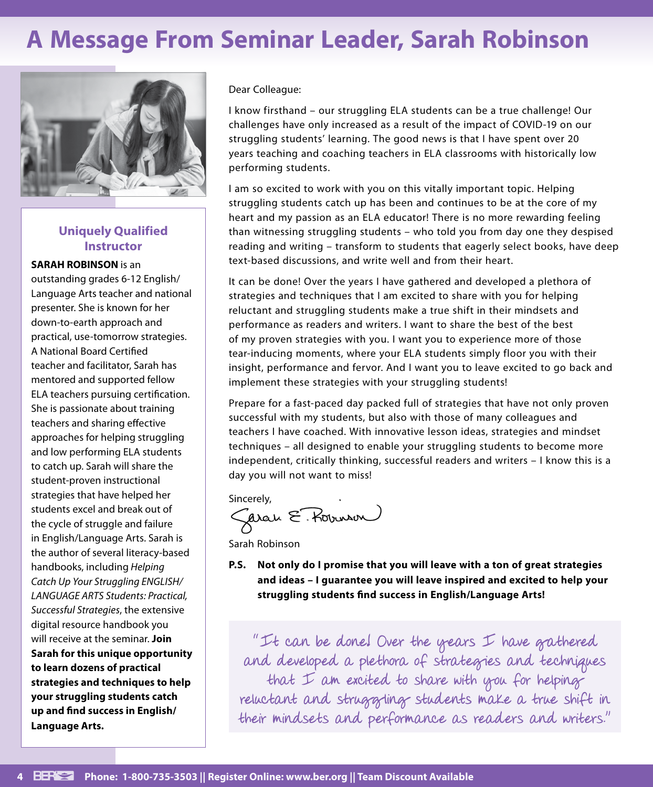# **A Message From Seminar Leader, Sarah Robinson**



#### **Uniquely Qualified Instructor**

#### **SARAH ROBINSON** is an

outstanding grades 6-12 English/ Language Arts teacher and national presenter. She is known for her down-to-earth approach and practical, use-tomorrow strategies. A National Board Certified teacher and facilitator, Sarah has mentored and supported fellow ELA teachers pursuing certification. She is passionate about training teachers and sharing effective approaches for helping struggling and low performing ELA students to catch up. Sarah will share the student-proven instructional strategies that have helped her students excel and break out of the cycle of struggle and failure in English/Language Arts. Sarah is the author of several literacy-based handbooks, including *Helping Catch Up Your Struggling ENGLISH/ LANGUAGE ARTS Students: Practical, Successful Strategies*, the extensive digital resource handbook you will receive at the seminar. **Join Sarah for this unique opportunity to learn dozens of practical strategies and techniques to help your struggling students catch up and find success in English/ Language Arts.**

Dear Colleague:

I know firsthand – our struggling ELA students can be a true challenge! Our challenges have only increased as a result of the impact of COVID-19 on our struggling students' learning. The good news is that I have spent over 20 years teaching and coaching teachers in ELA classrooms with historically low performing students.

I am so excited to work with you on this vitally important topic. Helping struggling students catch up has been and continues to be at the core of my heart and my passion as an ELA educator! There is no more rewarding feeling than witnessing struggling students – who told you from day one they despised reading and writing – transform to students that eagerly select books, have deep text-based discussions, and write well and from their heart.

It can be done! Over the years I have gathered and developed a plethora of strategies and techniques that I am excited to share with you for helping reluctant and struggling students make a true shift in their mindsets and performance as readers and writers. I want to share the best of the best of my proven strategies with you. I want you to experience more of those tear-inducing moments, where your ELA students simply floor you with their insight, performance and fervor. And I want you to leave excited to go back and implement these strategies with your struggling students!

Prepare for a fast-paced day packed full of strategies that have not only proven successful with my students, but also with those of many colleagues and teachers I have coached. With innovative lesson ideas, strategies and mindset techniques – all designed to enable your struggling students to become more independent, critically thinking, successful readers and writers – I know this is a day you will not want to miss!

Sincerely,<br>Garan E. Robunson

Sarah Robinson

**P.S. Not only do I promise that you will leave with a ton of great strategies and ideas – I guarantee you will leave inspired and excited to help your struggling students find success in English/Language Arts!**

"It can be done! Over the years I have gathered and developed a plethora of strategies and techniques that  ${\mathcal I}$  am excited to share with you for helping reluctant and struggling students make a true shift in their mindsets and performance as readers and writers."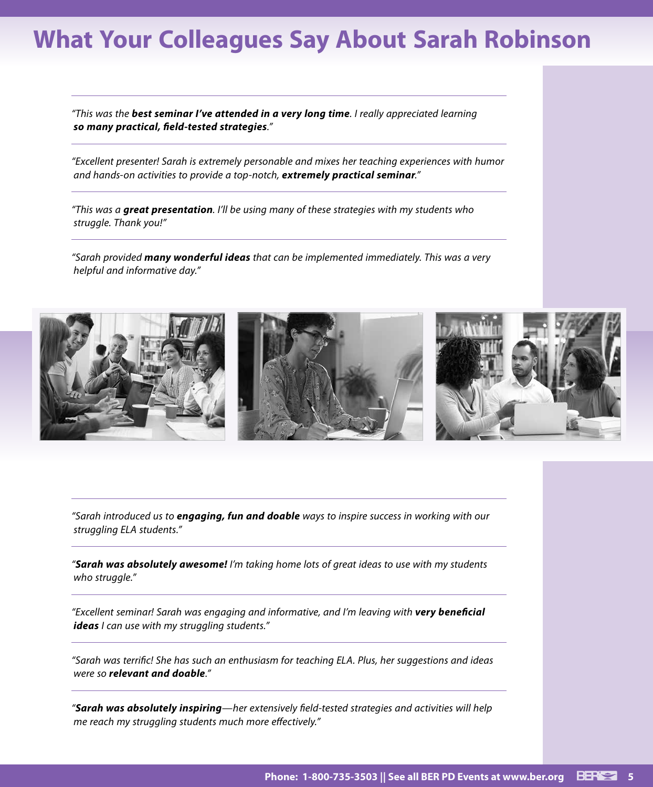# **What Your Colleagues Say About Sarah Robinson**

*"This was the best seminar I've attended in a very long time. I really appreciated learning so many practical, field-tested strategies."*

*"Excellent presenter! Sarah is extremely personable and mixes her teaching experiences with humor and hands-on activities to provide a top-notch, extremely practical seminar."*

*"This was a great presentation. I'll be using many of these strategies with my students who struggle. Thank you!"*

*"Sarah provided many wonderful ideas that can be implemented immediately. This was a very helpful and informative day."*



*"Sarah introduced us to engaging, fun and doable ways to inspire success in working with our struggling ELA students."*

*"Sarah was absolutely awesome! I'm taking home lots of great ideas to use with my students who struggle."*

*"Excellent seminar! Sarah was engaging and informative, and I'm leaving with very beneficial ideas I can use with my struggling students."*

*"Sarah was terrific! She has such an enthusiasm for teaching ELA. Plus, her suggestions and ideas were so relevant and doable."*

*"Sarah was absolutely inspiring—her extensively field-tested strategies and activities will help me reach my struggling students much more effectively."*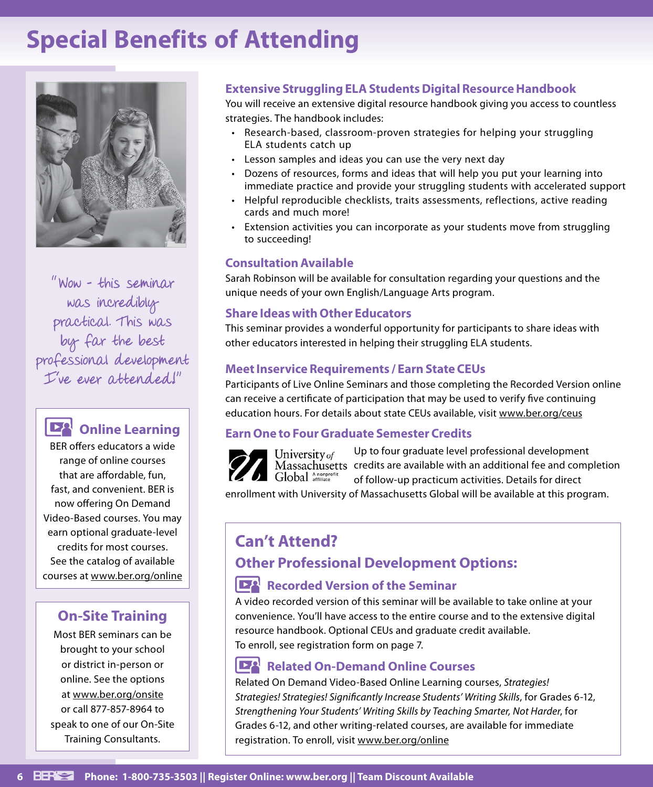# **Special Benefits of Attending**



"Wow – this seminar was incredibly practical. This was by far the best professional development I've ever attended!"

**DA** Online Learning

BER offers educators a wide range of online courses that are affordable, fun, fast, and convenient. BER is now offering On Demand Video-Based courses. You may earn optional graduate-level credits for most courses. See the catalog of available courses at www.ber.org/online

#### **On-Site Training**

Most BER seminars can be brought to your school or district in-person or online. See the options at www.ber.org/onsite or call 877-857-8964 to speak to one of our On-Site Training Consultants.

#### **Extensive Struggling ELA Students Digital Resource Handbook**

You will receive an extensive digital resource handbook giving you access to countless strategies. The handbook includes:

- Research-based, classroom-proven strategies for helping your struggling ELA students catch up
- Lesson samples and ideas you can use the very next day
- Dozens of resources, forms and ideas that will help you put your learning into immediate practice and provide your struggling students with accelerated support
- Helpful reproducible checklists, traits assessments, reflections, active reading cards and much more!
- Extension activities you can incorporate as your students move from struggling to succeeding!

#### **Consultation Available**

Sarah Robinson will be available for consultation regarding your questions and the unique needs of your own English/Language Arts program.

#### **Share Ideas with Other Educators**

This seminar provides a wonderful opportunity for participants to share ideas with other educators interested in helping their struggling ELA students.

#### **Meet Inservice Requirements / Earn State CEUs**

Participants of Live Online Seminars and those completing the Recorded Version online can receive a certificate of participation that may be used to verify five continuing education hours. For details about state CEUs available, visit www.ber.org/ceus

#### **Earn One to Four Graduate Semester Credits**



Up to four graduate level professional development University of Massachusetts credits are available with an additional fee and completion Global Anonprofit of follow-up practicum activities. Details for direct

enrollment with University of Massachusetts Global will be available at this program.

## **Can't Attend?**

## **Other Professional Development Options:**

## **Recorded Version of the Seminar**

A video recorded version of this seminar will be available to take online at your convenience. You'll have access to the entire course and to the extensive digital resource handbook. Optional CEUs and graduate credit available. To enroll, see registration form on page 7.

#### **Related On-Demand Online Courses**

Related On Demand Video-Based Online Learning courses, *Strategies! Strategies! Strategies! Significantly Increase Students' Writing Skills*, for Grades 6-12, *Strengthening Your Students' Writing Skills by Teaching Smarter, Not Harder*, for Grades 6-12, and other writing-related courses, are available for immediate registration. To enroll, visit www.ber.org/online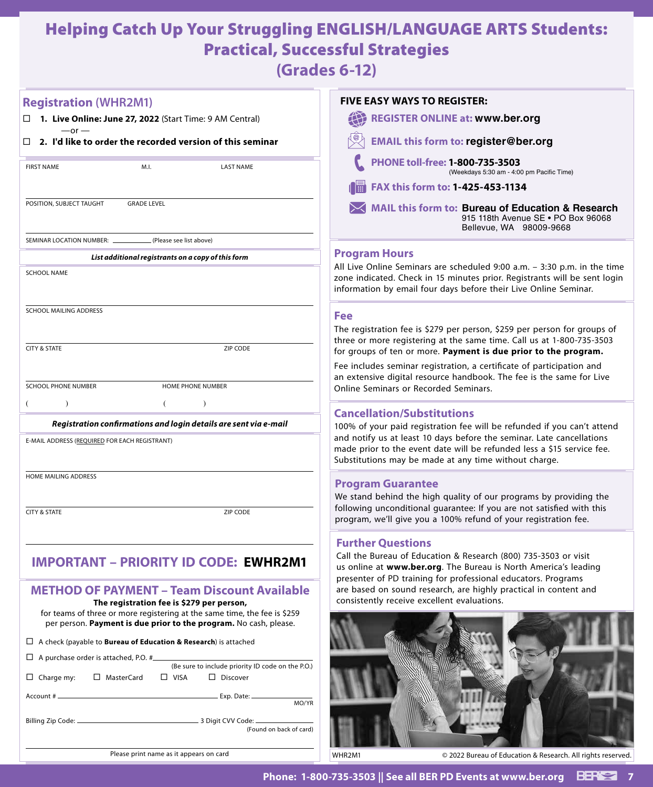# Helping Catch Up Your Struggling ENGLISH/LANGUAGE ARTS Students: Practical, Successful Strategies

**(Grades 6-12)**

| <b>Registration (WHR2M1)</b>                                                                                                                   | <b>FIVE EASY WAYS TO REGISTER:</b>                                                                                                                                                                                        |
|------------------------------------------------------------------------------------------------------------------------------------------------|---------------------------------------------------------------------------------------------------------------------------------------------------------------------------------------------------------------------------|
| $\Box$ 1. Live Online: June 27, 2022 (Start Time: 9 AM Central)                                                                                | <b>REGISTER ONLINE at: www.ber.org</b>                                                                                                                                                                                    |
| $-$ or $-$<br>$\Box$ 2. I'd like to order the recorded version of this seminar                                                                 | <b>EMAIL this form to: register@ber.org</b>                                                                                                                                                                               |
| <b>FIRST NAME</b><br>M.I.<br><b>LAST NAME</b>                                                                                                  | PHONE toll-free: 1-800-735-3503<br>(Weekdays 5:30 am - 4:00 pm Pacific Time)                                                                                                                                              |
|                                                                                                                                                | FAX this form to: 1-425-453-1134                                                                                                                                                                                          |
| POSITION, SUBJECT TAUGHT<br><b>GRADE LEVEL</b>                                                                                                 | <b>MAIL this form to: Bureau of Education &amp; Research</b><br>915 118th Avenue SE . PO Box 96068<br>Bellevue, WA 98009-9668                                                                                             |
| SEMINAR LOCATION NUMBER:<br>(Please see list above)                                                                                            |                                                                                                                                                                                                                           |
| List additional registrants on a copy of this form                                                                                             | <b>Program Hours</b>                                                                                                                                                                                                      |
| <b>SCHOOL NAME</b>                                                                                                                             | All Live Online Seminars are scheduled 9:00 a.m. - 3:30 p.m. in the time<br>zone indicated. Check in 15 minutes prior. Registrants will be sent login<br>information by email four days before their Live Online Seminar. |
| SCHOOL MAILING ADDRESS                                                                                                                         | <b>Fee</b>                                                                                                                                                                                                                |
|                                                                                                                                                | The registration fee is \$279 per person, \$259 per person for groups of                                                                                                                                                  |
| <b>CITY &amp; STATE</b><br>ZIP CODE                                                                                                            | three or more registering at the same time. Call us at 1-800-735-3503<br>for groups of ten or more. Payment is due prior to the program.                                                                                  |
|                                                                                                                                                | Fee includes seminar registration, a certificate of participation and                                                                                                                                                     |
| <b>SCHOOL PHONE NUMBER</b><br>HOME PHONE NUMBER                                                                                                | an extensive digital resource handbook. The fee is the same for Live<br>Online Seminars or Recorded Seminars.                                                                                                             |
| $\lambda$                                                                                                                                      |                                                                                                                                                                                                                           |
|                                                                                                                                                | <b>Cancellation/Substitutions</b>                                                                                                                                                                                         |
| Registration confirmations and login details are sent via e-mail                                                                               | 100% of your paid registration fee will be refunded if you can't attend<br>and notify us at least 10 days before the seminar. Late cancellations                                                                          |
| E-MAIL ADDRESS (REQUIRED FOR EACH REGISTRANT)                                                                                                  | made prior to the event date will be refunded less a \$15 service fee.                                                                                                                                                    |
|                                                                                                                                                | Substitutions may be made at any time without charge.                                                                                                                                                                     |
| HOME MAILING ADDRESS                                                                                                                           | <b>Program Guarantee</b>                                                                                                                                                                                                  |
|                                                                                                                                                | We stand behind the high quality of our programs by providing the                                                                                                                                                         |
| <b>CITY &amp; STATE</b><br>ZIP CODE                                                                                                            | following unconditional guarantee: If you are not satisfied with this<br>program, we'll give you a 100% refund of your registration fee.                                                                                  |
|                                                                                                                                                |                                                                                                                                                                                                                           |
|                                                                                                                                                | <b>Further Questions</b><br>Call the Bureau of Education & Research (800) 735-3503 or visit                                                                                                                               |
| IMPORTANT – PRIORITY ID CODE:  EWHR2M1                                                                                                         | us online at www.ber.org. The Bureau is North America's leading                                                                                                                                                           |
| <b>METHOD OF PAYMENT - Team Discount Available</b>                                                                                             | presenter of PD training for professional educators. Programs<br>are based on sound research, are highly practical in content and                                                                                         |
| The registration fee is \$279 per person,                                                                                                      | consistently receive excellent evaluations.                                                                                                                                                                               |
| for teams of three or more registering at the same time, the fee is \$259<br>per person. Payment is due prior to the program. No cash, please. |                                                                                                                                                                                                                           |
| $\Box$ A check (payable to <b>Bureau of Education &amp; Research</b> ) is attached                                                             |                                                                                                                                                                                                                           |
| $\Box$ A purchase order is attached, P.O. #                                                                                                    |                                                                                                                                                                                                                           |
| (Be sure to include priority ID code on the P.O.)<br>$\Box$ Charge my:<br>□ MasterCard<br>$\Box$ VISA<br>$\Box$ Discover                       |                                                                                                                                                                                                                           |
|                                                                                                                                                |                                                                                                                                                                                                                           |
| MO/YR                                                                                                                                          |                                                                                                                                                                                                                           |
|                                                                                                                                                |                                                                                                                                                                                                                           |
| (Found on back of card)                                                                                                                        |                                                                                                                                                                                                                           |
| Please print name as it appears on card                                                                                                        | © 2022 Bureau of Education & Research. All rights reserved<br>WHR2M1                                                                                                                                                      |